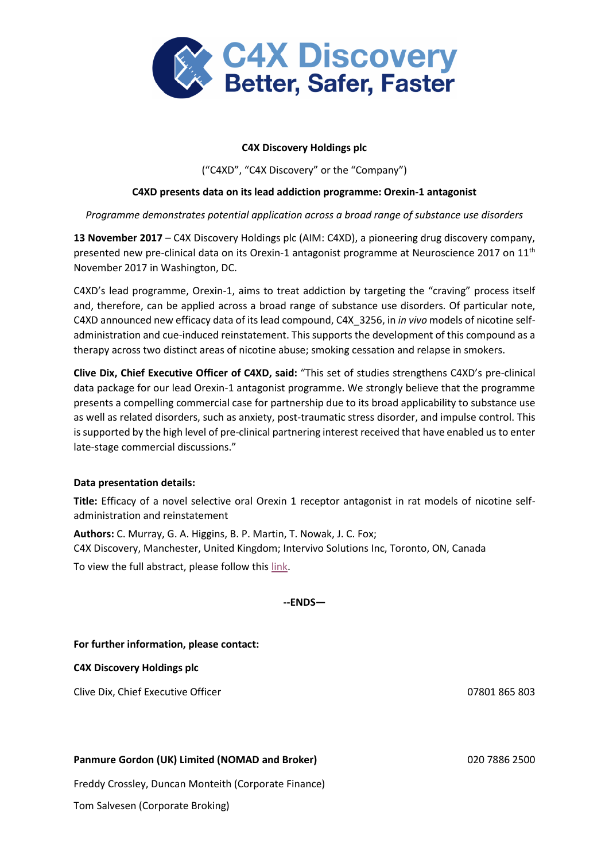

# **C4X Discovery Holdings plc**

("C4XD", "C4X Discovery" or the "Company")

# **C4XD presents data on its lead addiction programme: Orexin-1 antagonist**

# *Programme demonstrates potential application across a broad range of substance use disorders*

**13 November 2017** – C4X Discovery Holdings plc (AIM: C4XD), a pioneering drug discovery company, presented new pre-clinical data on its Orexin-1 antagonist programme at Neuroscience 2017 on 11<sup>th</sup> November 2017 in Washington, DC.

C4XD's lead programme, Orexin-1, aims to treat addiction by targeting the "craving" process itself and, therefore, can be applied across a broad range of substance use disorders. Of particular note, C4XD announced new efficacy data of its lead compound, C4X\_3256, in *in vivo* models of nicotine selfadministration and cue-induced reinstatement. This supports the development of this compound as a therapy across two distinct areas of nicotine abuse; smoking cessation and relapse in smokers.

**Clive Dix, Chief Executive Officer of C4XD, said:** "This set of studies strengthens C4XD's pre-clinical data package for our lead Orexin-1 antagonist programme. We strongly believe that the programme presents a compelling commercial case for partnership due to its broad applicability to substance use as well as related disorders, such as anxiety, post-traumatic stress disorder, and impulse control. This is supported by the high level of pre-clinical partnering interest received that have enabled us to enter late-stage commercial discussions."

# **Data presentation details:**

**Title:** Efficacy of a novel selective oral Orexin 1 receptor antagonist in rat models of nicotine selfadministration and reinstatement

**Authors:** C. Murray, G. A. Higgins, B. P. Martin, T. Nowak, J. C. Fox; C4X Discovery, Manchester, United Kingdom; Intervivo Solutions Inc, Toronto, ON, Canada

To view the full abstract, please follow this [link.](http://www.abstractsonline.com/pp8/#!/4376/presentation/23334)

**--ENDS—**

**For further information, please contact:**

**C4X Discovery Holdings plc**

Clive Dix, Chief Executive Officer 07801 865 803

# **Panmure Gordon (UK) Limited (NOMAD and Broker)** 020 7886 2500

Freddy Crossley, Duncan Monteith (Corporate Finance)

Tom Salvesen (Corporate Broking)